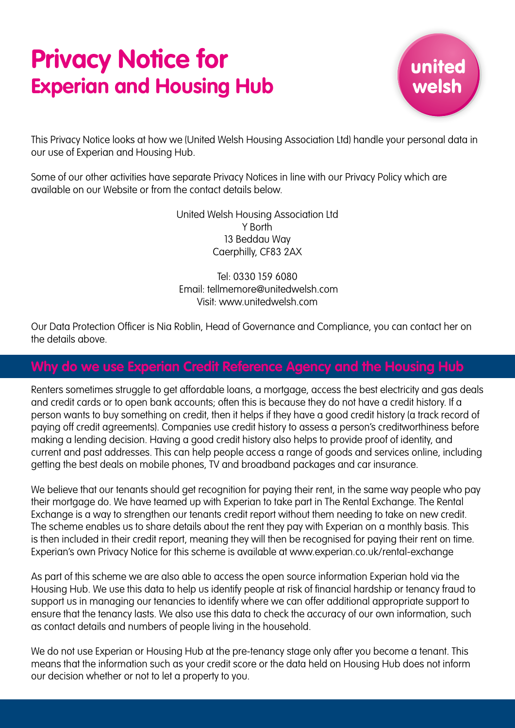# **Privacy Notice for Experian and Housing Hub**



This Privacy Notice looks at how we (United Welsh Housing Association Ltd) handle your personal data in our use of Experian and Housing Hub.

Some of our other activities have separate Privacy Notices in line with our Privacy Policy which are available on our Website or from the contact details below.

> United Welsh Housing Association Ltd Y Borth 13 Beddau Way Caerphilly, CF83 2AX

Tel: 0330 159 6080 Email: tellmemore@unitedwelsh.com Visit: www.unitedwelsh.com

Our Data Protection Officer is Nia Roblin, Head of Governance and Compliance, you can contact her on the details above.

# **Why do we use Experian Credit Reference Agency and the Housing Hub**

Renters sometimes struggle to get affordable loans, a mortgage, access the best electricity and gas deals and credit cards or to open bank accounts; often this is because they do not have a credit history. If a person wants to buy something on credit, then it helps if they have a good credit history (a track record of paying off credit agreements). Companies use credit history to assess a person's creditworthiness before making a lending decision. Having a good credit history also helps to provide proof of identity, and current and past addresses. This can help people access a range of goods and services online, including getting the best deals on mobile phones, TV and broadband packages and car insurance.

We believe that our tenants should get recognition for paying their rent, in the same way people who pay their mortgage do. We have teamed up with Experian to take part in The Rental Exchange. The Rental Exchange is a way to strengthen our tenants credit report without them needing to take on new credit. The scheme enables us to share details about the rent they pay with Experian on a monthly basis. This is then included in their credit report, meaning they will then be recognised for paying their rent on time. Experian's own Privacy Notice for this scheme is available at www.experian.co.uk/rental-exchange

As part of this scheme we are also able to access the open source information Experian hold via the Housing Hub. We use this data to help us identify people at risk of financial hardship or tenancy fraud to support us in managing our tenancies to identify where we can offer additional appropriate support to ensure that the tenancy lasts. We also use this data to check the accuracy of our own information, such as contact details and numbers of people living in the household.

We do not use Experian or Housing Hub at the pre-tenancy stage only after you become a tenant. This means that the information such as your credit score or the data held on Housing Hub does not inform our decision whether or not to let a property to you.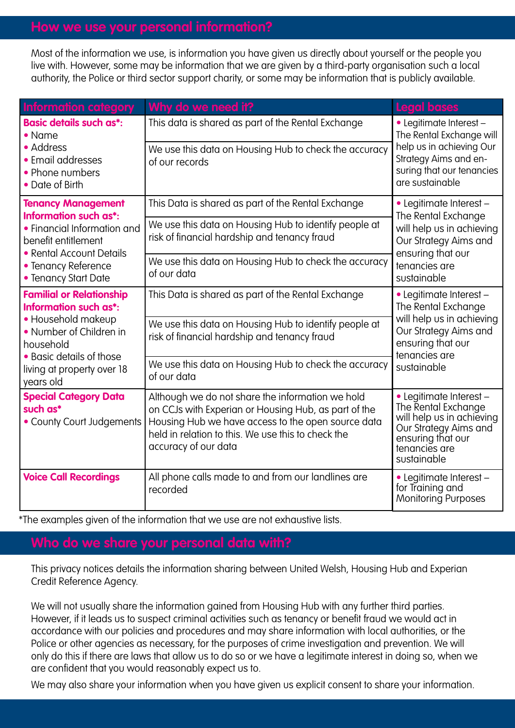Most of the information we use, is information you have given us directly about yourself or the people you live with. However, some may be information that we are given by a third-party organisation such a local authority, the Police or third sector support charity, or some may be information that is publicly available.

| <b>Information category</b>                                                                                                                                                                   | Why do we need it?                                                                                                                                                                                                                           | <b>Legal bases</b>                                                                                                                                        |
|-----------------------------------------------------------------------------------------------------------------------------------------------------------------------------------------------|----------------------------------------------------------------------------------------------------------------------------------------------------------------------------------------------------------------------------------------------|-----------------------------------------------------------------------------------------------------------------------------------------------------------|
| <b>Basic details such as*:</b><br>• Name                                                                                                                                                      | This data is shared as part of the Rental Exchange                                                                                                                                                                                           | • Legitimate Interest -<br>The Rental Exchange will<br>help us in achieving Our<br>Strategy Aims and en-<br>suring that our tenancies<br>are sustainable  |
| • Address<br>• Email addresses<br>• Phone numbers<br>• Date of Birth                                                                                                                          | We use this data on Housing Hub to check the accuracy<br>of our records                                                                                                                                                                      |                                                                                                                                                           |
| <b>Tenancy Management</b><br>Information such as*:<br>• Financial Information and<br>benefit entitlement<br>• Rental Account Details<br>• Tenancy Reference<br>• Tenancy Start Date           | This Data is shared as part of the Rental Exchange                                                                                                                                                                                           | • Legitimate Interest -<br>The Rental Exchange<br>will help us in achieving<br>Our Strategy Aims and<br>ensuring that our<br>tenancies are<br>sustainable |
|                                                                                                                                                                                               | We use this data on Housing Hub to identify people at<br>risk of financial hardship and tenancy fraud                                                                                                                                        |                                                                                                                                                           |
|                                                                                                                                                                                               | We use this data on Housing Hub to check the accuracy<br>of our data                                                                                                                                                                         |                                                                                                                                                           |
| <b>Familial or Relationship</b><br>Information such as*:<br>· Household makeup<br>• Number of Children in<br>household<br>• Basic details of those<br>living at property over 18<br>years old | This Data is shared as part of the Rental Exchange                                                                                                                                                                                           | • Legitimate Interest -<br>The Rental Exchange<br>will help us in achieving<br>Our Strategy Aims and<br>ensuring that our<br>tenancies are<br>sustainable |
|                                                                                                                                                                                               | We use this data on Housing Hub to identify people at<br>risk of financial hardship and tenancy fraud                                                                                                                                        |                                                                                                                                                           |
|                                                                                                                                                                                               | We use this data on Housing Hub to check the accuracy<br>of our data                                                                                                                                                                         |                                                                                                                                                           |
| <b>Special Category Data</b><br>such as*<br>• County Court Judgements                                                                                                                         | Although we do not share the information we hold<br>on CCJs with Experian or Housing Hub, as part of the<br>Housing Hub we have access to the open source data<br>held in relation to this. We use this to check the<br>accuracy of our data | · Legitimate Interest -<br>The Rental Exchange<br>will help us in achieving<br>Our Strategy Aims and<br>ensuring that our<br>tenancies are<br>sustainable |
| <b>Voice Call Recordings</b>                                                                                                                                                                  | All phone calls made to and from our landlines are<br>recorded                                                                                                                                                                               | · Legitimate Interest -<br>for Training and<br><b>Monitoring Purposes</b>                                                                                 |

\*The examples given of the information that we use are not exhaustive lists.

This privacy notices details the information sharing between United Welsh, Housing Hub and Experian Credit Reference Agency.

We will not usually share the information gained from Housing Hub with any further third parties. However, if it leads us to suspect criminal activities such as tenancy or benefit fraud we would act in accordance with our policies and procedures and may share information with local authorities, or the Police or other agencies as necessary, for the purposes of crime investigation and prevention. We will only do this if there are laws that allow us to do so or we have a legitimate interest in doing so, when we are confident that you would reasonably expect us to.

We may also share your information when you have given us explicit consent to share your information.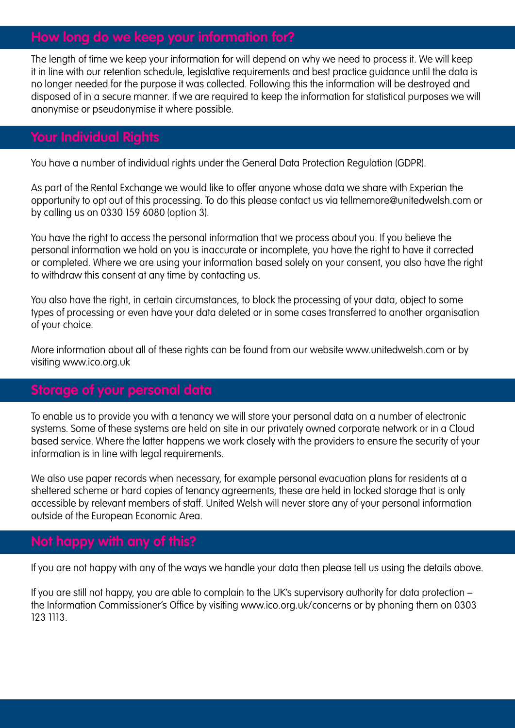## **How long do we keep your information for?**

The length of time we keep your information for will depend on why we need to process it. We will keep it in line with our retention schedule, legislative requirements and best practice guidance until the data is no longer needed for the purpose it was collected. Following this the information will be destroyed and disposed of in a secure manner. If we are required to keep the information for statistical purposes we will anonymise or pseudonymise it where possible.

### **Your Individual Rights**

You have a number of individual rights under the General Data Protection Regulation (GDPR).

As part of the Rental Exchange we would like to offer anyone whose data we share with Experian the opportunity to opt out of this processing. To do this please contact us via tellmemore@unitedwelsh.com or by calling us on 0330 159 6080 (option 3).

You have the right to access the personal information that we process about you. If you believe the personal information we hold on you is inaccurate or incomplete, you have the right to have it corrected or completed. Where we are using your information based solely on your consent, you also have the right to withdraw this consent at any time by contacting us.

You also have the right, in certain circumstances, to block the processing of your data, object to some types of processing or even have your data deleted or in some cases transferred to another organisation of your choice.

More information about all of these rights can be found from our website www.unitedwelsh.com or by visiting www.ico.org.uk

## **Storage of your personal data**

To enable us to provide you with a tenancy we will store your personal data on a number of electronic systems. Some of these systems are held on site in our privately owned corporate network or in a Cloud based service. Where the latter happens we work closely with the providers to ensure the security of your information is in line with legal requirements.

We also use paper records when necessary, for example personal evacuation plans for residents at a sheltered scheme or hard copies of tenancy agreements, these are held in locked storage that is only accessible by relevant members of staff. United Welsh will never store any of your personal information outside of the European Economic Area.

# **Not happy with any of this?**

If you are not happy with any of the ways we handle your data then please tell us using the details above.

If you are still not happy, you are able to complain to the UK's supervisory authority for data protection – the Information Commissioner's Office by visiting www.ico.org.uk/concerns or by phoning them on 0303 123 1113.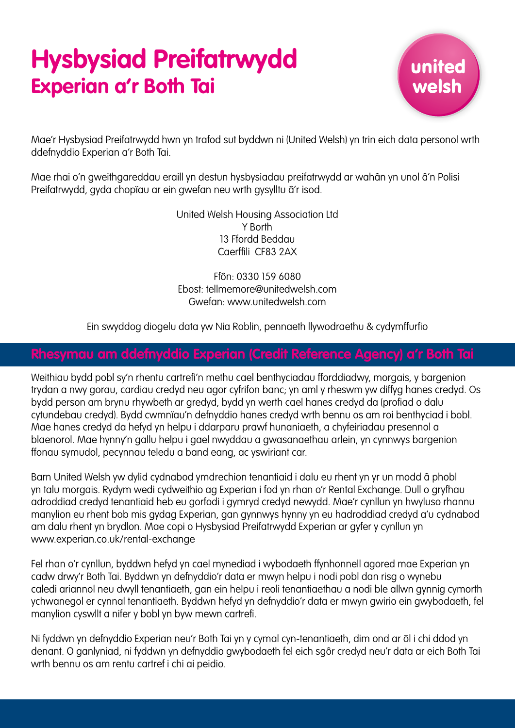# **Hysbysiad Preifatrwydd Experian a'r Both Tai**



Mae'r Hysbysiad Preifatrwydd hwn yn trafod sut byddwn ni (United Welsh) yn trin eich data personol wrth ddefnyddio Experian a'r Both Tai.

Mae rhai o'n gweithgareddau eraill yn destun hysbysiadau preifatrwydd ar wahân yn unol â'n Polisi Preifatrwydd, gyda chopïau ar ein gwefan neu wrth gysylltu â'r isod.

> United Welsh Housing Association Ltd Y Borth 13 Ffordd Beddau Caerffili CF83 2AX

Ffôn: 0330 159 6080 Ebost: tellmemore@unitedwelsh.com Gwefan: www.unitedwelsh.com

Ein swyddog diogelu data yw Nia Roblin, pennaeth llywodraethu & cydymffurfio

### **Rhesymau am ddefnyddio Experian (Credit Reference Agency) a'r Both Tai**

Weithiau bydd pobl sy'n rhentu cartrefi'n methu cael benthyciadau fforddiadwy, morgais, y bargenion trydan a nwy gorau, cardiau credyd neu agor cyfrifon banc; yn aml y rheswm yw diffyg hanes credyd. Os bydd person am brynu rhywbeth ar gredyd, bydd yn werth cael hanes credyd da (profiad o dalu cytundebau credyd). Bydd cwmnïau'n defnyddio hanes credyd wrth bennu os am roi benthyciad i bobl. Mae hanes credyd da hefyd yn helpu i ddarparu prawf hunaniaeth, a chyfeiriadau presennol a blaenorol. Mae hynny'n gallu helpu i gael nwyddau a gwasanaethau arlein, yn cynnwys bargenion ffonau symudol, pecynnau teledu a band eang, ac yswiriant car.

Barn United Welsh yw dylid cydnabod ymdrechion tenantiaid i dalu eu rhent yn yr un modd â phobl yn talu morgais. Rydym wedi cydweithio ag Experian i fod yn rhan o'r Rental Exchange. Dull o gryfhau adroddiad credyd tenantiaid heb eu gorfodi i gymryd credyd newydd. Mae'r cynllun yn hwyluso rhannu manylion eu rhent bob mis gydag Experian, gan gynnwys hynny yn eu hadroddiad credyd a'u cydnabod am dalu rhent yn brydlon. Mae copi o Hysbysiad Preifatrwydd Experian ar gyfer y cynllun yn www.experian.co.uk/rental-exchange

Fel rhan o'r cynllun, byddwn hefyd yn cael mynediad i wybodaeth ffynhonnell agored mae Experian yn cadw drwy'r Both Tai. Byddwn yn defnyddio'r data er mwyn helpu i nodi pobl dan risg o wynebu caledi ariannol neu dwyll tenantiaeth, gan ein helpu i reoli tenantiaethau a nodi ble allwn gynnig cymorth ychwanegol er cynnal tenantiaeth. Byddwn hefyd yn defnyddio'r data er mwyn gwirio ein gwybodaeth, fel manylion cyswllt a nifer y bobl yn byw mewn cartrefi.

Ni fyddwn yn defnyddio Experian neu'r Both Tai yn y cymal cyn-tenantiaeth, dim ond ar ôl i chi ddod yn denant. O ganlyniad, ni fyddwn yn defnyddio gwybodaeth fel eich sgôr credyd neu'r data ar eich Both Tai wrth bennu os am rentu cartref i chi ai peidio.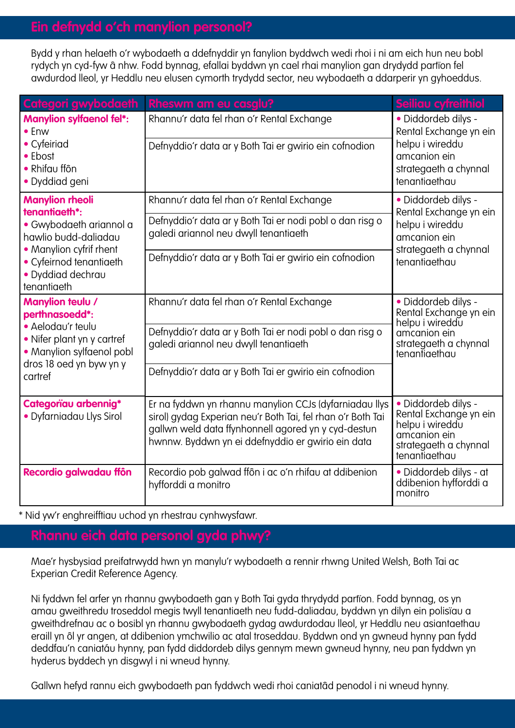## **Ein defnydd o'ch manylion personol?**

Bydd y rhan helaeth o'r wybodaeth a ddefnyddir yn fanylion byddwch wedi rhoi i ni am eich hun neu bobl rydych yn cyd-fyw â nhw. Fodd bynnag, efallai byddwn yn cael rhai manylion gan drydydd partïon fel awdurdod lleol, yr Heddlu neu elusen cymorth trydydd sector, neu wybodaeth a ddarperir yn gyhoeddus.

| Categori gwybodaeth                                                                                                                                                                  | Rheswm am eu casglu?                                                                                                                                                                                                              | Seiliau cyfreithiol                                                                                                        |
|--------------------------------------------------------------------------------------------------------------------------------------------------------------------------------------|-----------------------------------------------------------------------------------------------------------------------------------------------------------------------------------------------------------------------------------|----------------------------------------------------------------------------------------------------------------------------|
| <b>Manylion sylfaenol fel*:</b><br>$\bullet$ Enw<br>• Cyfeiriad<br>• Ebost<br>• Rhifau ffôn<br>· Dyddiad geni                                                                        | Rhannu'r data fel rhan o'r Rental Exchange                                                                                                                                                                                        | · Diddordeb dilys -<br>Rental Exchange yn ein<br>helpu i wireddu<br>amcanion ein<br>strategaeth a chynnal<br>tenantiaethau |
|                                                                                                                                                                                      | Defnyddio'r data ar y Both Tai er gwirio ein cofnodion                                                                                                                                                                            |                                                                                                                            |
| <b>Manylion rheoli</b><br>tenantiaeth*:<br>• Gwybodaeth ariannol a<br>hawlio budd-daliadau<br>• Manylion cyfrif rhent<br>• Cyfeirnod tenantiaeth<br>· Dyddiad dechrau<br>tenantiaeth | Rhannu'r data fel rhan o'r Rental Exchange                                                                                                                                                                                        | · Diddordeb dilys -<br>Rental Exchange yn ein<br>helpu i wireddu<br>amcanion ein<br>strategaeth a chynnal<br>tenantiaethau |
|                                                                                                                                                                                      | Defnyddio'r data ar y Both Tai er nodi pobl o dan risg o<br>galedi ariannol neu dwyll tenantiaeth                                                                                                                                 |                                                                                                                            |
|                                                                                                                                                                                      | Defnyddio'r data ar y Both Tai er gwirio ein cofnodion                                                                                                                                                                            |                                                                                                                            |
| Manylion teulu /<br>perthnasoedd*:<br>· Aelodau'r teulu<br>• Nifer plant yn y cartref<br>• Manylion sylfaenol pobl<br>dros 18 oed yn byw yn y<br>cartref                             | Rhannu'r data fel rhan o'r Rental Exchange                                                                                                                                                                                        | · Diddordeb dilys -<br>Rental Exchange yn ein<br>helpu i wireddu<br>amcanion ein<br>strategaeth a chynnal<br>tenantiaethau |
|                                                                                                                                                                                      | Defnyddio'r data ar y Both Tai er nodi pobl o dan risg o<br>galedi ariannol neu dwyll tenantiaeth                                                                                                                                 |                                                                                                                            |
|                                                                                                                                                                                      | Defnyddio'r data ar y Both Tai er gwirio ein cofnodion                                                                                                                                                                            |                                                                                                                            |
| Categoriau arbennig*<br>• Dyfarniadau Llys Sirol                                                                                                                                     | Er na fyddwn yn rhannu manylion CCJs (dyfarniadau llys<br>sirol) gydag Experian neu'r Both Tai, fel rhan o'r Both Tai<br>gallwn weld data ffynhonnell agored yn y cyd-destun<br>hwnnw. Byddwn yn ei ddefnyddio er gwirio ein data | · Diddordeb dilys -<br>Rental Exchange yn ein<br>helpu i wireddu<br>amcanion ein<br>strategaeth a chynnal<br>tenantiaethau |
| Recordio galwadau ffôn                                                                                                                                                               | Recordio pob galwad ffôn i ac o'n rhifau at ddibenion<br>hyfforddi a monitro                                                                                                                                                      | • Diddordeb dilys - at<br>ddibenion hyfforddi a<br>monitro                                                                 |

\* Nid yw'r enghreifftiau uchod yn rhestrau cynhwysfawr.

### **Rhannu eich data personol gyda phwy?**

Mae'r hysbysiad preifatrwydd hwn yn manylu'r wybodaeth a rennir rhwng United Welsh, Both Tai ac Experian Credit Reference Agency.

Ni fyddwn fel arfer yn rhannu gwybodaeth gan y Both Tai gyda thrydydd partïon. Fodd bynnag, os yn amau gweithredu troseddol megis twyll tenantiaeth neu fudd-daliadau, byddwn yn dilyn ein polisïau a gweithdrefnau ac o bosibl yn rhannu gwybodaeth gydag awdurdodau lleol, yr Heddlu neu asiantaethau eraill yn ôl yr angen, at ddibenion ymchwilio ac atal troseddau. Byddwn ond yn gwneud hynny pan fydd deddfau'n caniatáu hynny, pan fydd diddordeb dilys gennym mewn gwneud hynny, neu pan fyddwn yn hyderus byddech yn disgwyl i ni wneud hynny.

Gallwn hefyd rannu eich gwybodaeth pan fyddwch wedi rhoi caniatâd penodol i ni wneud hynny.